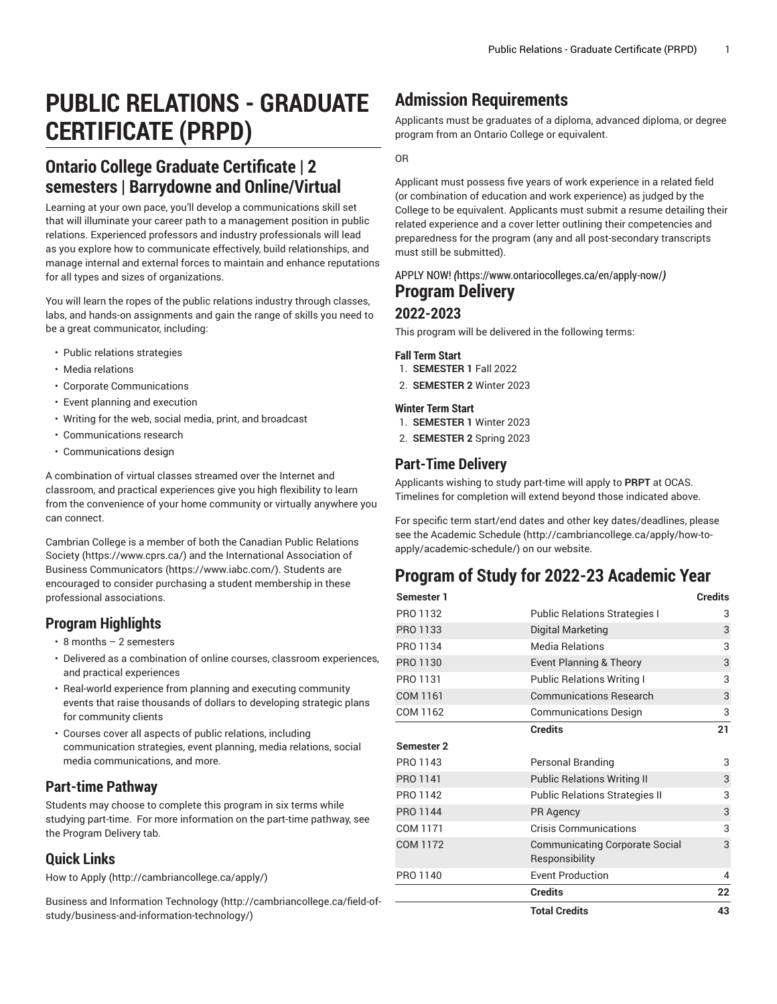# **PUBLIC RELATIONS - GRADUATE CERTIFICATE (PRPD)**

# **Ontario College Graduate Certificate | 2 semesters | Barrydowne and Online/Virtual**

Learning at your own pace, you'll develop a communications skill set that will illuminate your career path to a management position in public relations. Experienced professors and industry professionals will lead as you explore how to communicate effectively, build relationships, and manage internal and external forces to maintain and enhance reputations for all types and sizes of organizations.

You will learn the ropes of the public relations industry through classes, labs, and hands-on assignments and gain the range of skills you need to be a great communicator, including:

- Public relations strategies
- Media relations
- Corporate Communications
- Event planning and execution
- Writing for the web, social media, print, and broadcast
- Communications research
- Communications design

A combination of virtual classes streamed over the Internet and classroom, and practical experiences give you high flexibility to learn from the convenience of your home community or virtually anywhere you can connect.

Cambrian College is a member of both the [Canadian Public Relations](https://www.cprs.ca/) [Society \(https://www.cprs.ca/](https://www.cprs.ca/)) and the [International Association of](https://www.iabc.com/) [Business Communicators](https://www.iabc.com/) [\(https://www.iabc.com/\)](https://www.iabc.com/). Students are encouraged to consider purchasing a student membership in these professional associations.

# **Program Highlights**

- 8 months 2 semesters
- Delivered as a combination of online courses, classroom experiences, and practical experiences
- Real-world experience from planning and executing community events that raise thousands of dollars to developing strategic plans for community clients
- Courses cover all aspects of public relations, including communication strategies, event planning, media relations, social media communications, and more.

# **Part-time Pathway**

Students may choose to complete this program in six terms while studying part-time. For more information on the part-time pathway, see the Program Delivery tab.

# **Quick Links**

[How to Apply \(http://cambriancollege.ca/apply/](http://cambriancollege.ca/apply/))

Business and [Information](http://cambriancollege.ca/field-of-study/business-and-information-technology/) Technology ([http://cambriancollege.ca/field-of](http://cambriancollege.ca/field-of-study/business-and-information-technology/)[study/business-and-information-technology/\)](http://cambriancollege.ca/field-of-study/business-and-information-technology/)

# **Admission Requirements**

Applicants must be graduates of a diploma, advanced diploma, or degree program from an Ontario College or equivalent.

OR

Applicant must possess five years of work experience in a related field (or combination of education and work experience) as judged by the College to be equivalent. Applicants must submit a resume detailing their related experience and a cover letter outlining their competencies and preparedness for the program (any and all post-secondary transcripts must still be submitted).

# [APPLY](https://www.ontariocolleges.ca/en/apply-now/) NOW! *(*<https://www.ontariocolleges.ca/en/apply-now/>*)* **Program Delivery**

### **2022-2023**

This program will be delivered in the following terms:

### **Fall Term Start**

- 1. **SEMESTER 1** Fall 2022
- 2. **SEMESTER 2** Winter 2023

### **Winter Term Start**

- 1. **SEMESTER 1** Winter 2023
- 2. **SEMESTER 2** Spring 2023

# **Part-Time Delivery**

Applicants wishing to study part-time will apply to **PRPT** at OCAS. Timelines for completion will extend beyond those indicated above.

For specific term start/end dates and other key dates/deadlines, please see the [Academic Schedule \(http://cambriancollege.ca/apply/how-to](http://cambriancollege.ca/apply/how-to-apply/academic-schedule/)[apply/academic-schedule/](http://cambriancollege.ca/apply/how-to-apply/academic-schedule/)) on our website.

# **Program of Study for 2022-23 Academic Year**

| <b>Semester 1</b> |                                                         | <b>Credits</b> |
|-------------------|---------------------------------------------------------|----------------|
| PRO 1132          | <b>Public Relations Strategies I</b>                    | 3              |
| PRO 1133          | Digital Marketing                                       | 3              |
| PRO 1134          | <b>Media Relations</b>                                  | 3              |
| PRO 1130          | <b>Event Planning &amp; Theory</b>                      | 3              |
| PRO 1131          | <b>Public Relations Writing I</b>                       | 3              |
| <b>COM 1161</b>   | <b>Communications Research</b>                          | 3              |
| COM 1162          | <b>Communications Design</b>                            | 3              |
|                   | <b>Credits</b>                                          | 21             |
| <b>Semester 2</b> |                                                         |                |
| PRO 1143          | Personal Branding                                       | 3              |
| PRO 1141          | <b>Public Relations Writing II</b>                      | 3              |
| PRO 1142          | <b>Public Relations Strategies II</b>                   | 3              |
| PRO 1144          | <b>PR Agency</b>                                        | 3              |
| COM 1171          | Crisis Communications                                   | 3              |
| <b>COM 1172</b>   | <b>Communicating Corporate Social</b><br>Responsibility | 3              |
| PRO 1140          | <b>Event Production</b>                                 | 4              |
|                   | <b>Credits</b>                                          | 22             |
|                   | <b>Total Credits</b>                                    | 43             |